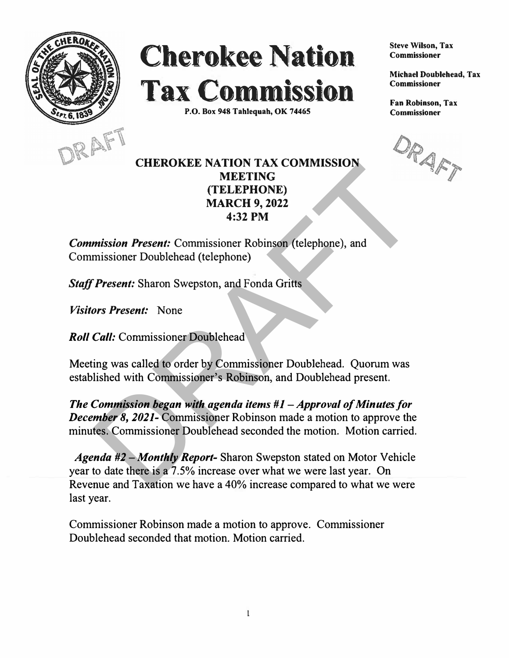

## **Cherokee Nation Tax Commission**

**P.O. Box 948 Tahlequah, OK 74465** 



## **CHEROKEE NATION TAX COMMISSION MEETING (TELEPHONE) MARCH 9, 2022**

**4:32 PM** 

*Commission Present:* Commissioner Robinson (telephone), and Commissioner Doublehead (telephone)

*Staff Present:* Sharon Swepston, and Fonda Gritts

*Visitors Present:* None

*Roll Call:* Commissioner Doublehead

Meeting was called to order by Commissioner Doublehead. Quorum was established with Commissioner's Robinson, and Doublehead present.

*The Commission began with agenda items #1 - Approval of Minutes for December 8, 2021-* Commissioner Robinson made a motion to approve the minutes. Commissioner Doublehead seconded the motion. Motion carried. **EXERCISE MATEURS**<br> **EXERCISE MARCH 9, 2022**<br> **ARRCH 9, 2022**<br> **ARRCH 9, 2022**<br> **4:32 PM**<br> **Present:** Commissioner Robinson (telephone), and<br> **Present:** Sharon Swepston, and Fonda Gritts<br> **Present:** None<br> **Call:** Commissi

*Agenda #2* -*Monthly Report-* Sharon Swepston stated on Motor Vehicle year to date there is a 7 .5% increase over what we were last year. On Revenue and Taxation we have a 40% increase compared to what we were last year.

Commissioner Robinson made a motion to approve. Commissioner Doublehead seconded that motion. Motion carried.

**Steve Wilson, Tax Commissioner** 

**Michael Doublehead, Tax Commissioner** 

**Fan Robinson, Tax Commissioner**